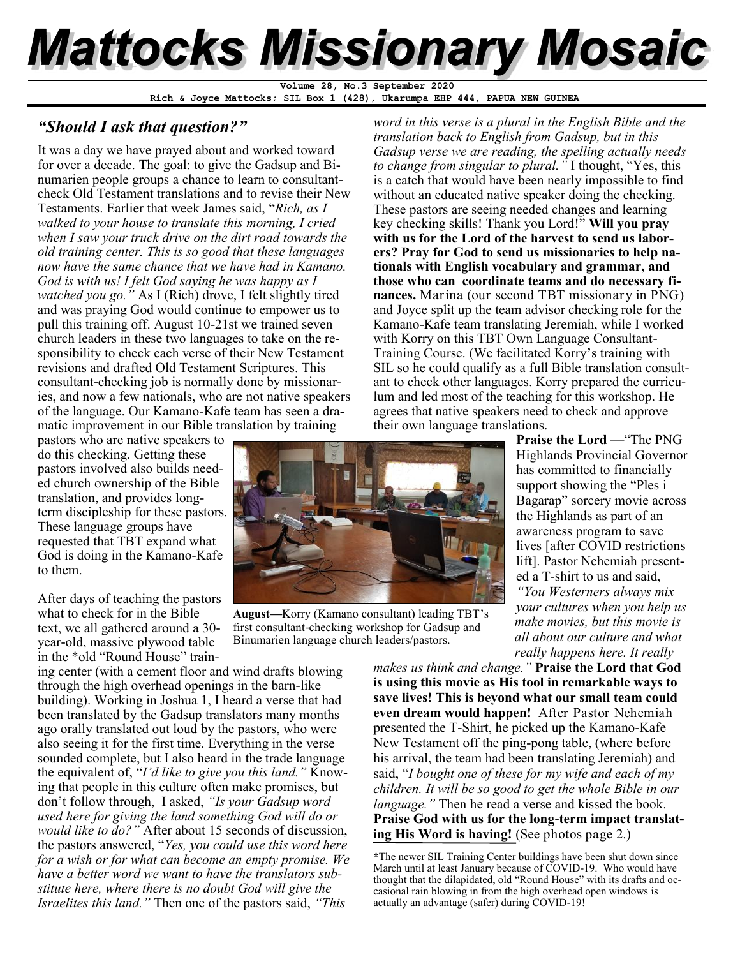# **Mattocks Missionary Mosaic**

**Rich & Joyce Mattocks; SIL Box 1 (428), Ukarumpa EHP 444, PAPUA NEW GUINEA Volume 28, No.3 September 2020**

## *"Should I ask that question?"*

It was a day we have prayed about and worked toward for over a decade. The goal: to give the Gadsup and Binumarien people groups a chance to learn to consultantcheck Old Testament translations and to revise their New Testaments. Earlier that week James said, "*Rich, as I walked to your house to translate this morning, I cried when I saw your truck drive on the dirt road towards the old training center. This is so good that these languages now have the same chance that we have had in Kamano. God is with us! I felt God saying he was happy as I watched you go."* As I (Rich) drove, I felt slightly tired and was praying God would continue to empower us to pull this training off. August 10-21st we trained seven church leaders in these two languages to take on the responsibility to check each verse of their New Testament revisions and drafted Old Testament Scriptures. This consultant-checking job is normally done by missionaries, and now a few nationals, who are not native speakers of the language. Our Kamano-Kafe team has seen a dramatic improvement in our Bible translation by training

pastors who are native speakers to do this checking. Getting these pastors involved also builds needed church ownership of the Bible translation, and provides longterm discipleship for these pastors. These language groups have requested that TBT expand what God is doing in the Kamano-Kafe to them.

After days of teaching the pastors what to check for in the Bible text, we all gathered around a 30 year-old, massive plywood table in the \*old "Round House" train-

ing center (with a cement floor and wind drafts blowing through the high overhead openings in the barn-like building). Working in Joshua 1, I heard a verse that had been translated by the Gadsup translators many months ago orally translated out loud by the pastors, who were also seeing it for the first time. Everything in the verse sounded complete, but I also heard in the trade language the equivalent of, "*I'd like to give you this land."* Knowing that people in this culture often make promises, but don't follow through, I asked, *"Is your Gadsup word used here for giving the land something God will do or would like to do?"* After about 15 seconds of discussion, the pastors answered, "*Yes, you could use this word here for a wish or for what can become an empty promise. We have a better word we want to have the translators substitute here, where there is no doubt God will give the Israelites this land."* Then one of the pastors said, *"This* 

*word in this verse is a plural in the English Bible and the translation back to English from Gadsup, but in this Gadsup verse we are reading, the spelling actually needs to change from singular to plural."* I thought, "Yes, this is a catch that would have been nearly impossible to find without an educated native speaker doing the checking. These pastors are seeing needed changes and learning key checking skills! Thank you Lord!" **Will you pray with us for the Lord of the harvest to send us laborers? Pray for God to send us missionaries to help nationals with English vocabulary and grammar, and those who can coordinate teams and do necessary finances.** Marina (our second TBT missionary in PNG) and Joyce split up the team advisor checking role for the Kamano-Kafe team translating Jeremiah, while I worked with Korry on this TBT Own Language Consultant-Training Course. (We facilitated Korry's training with SIL so he could qualify as a full Bible translation consultant to check other languages. Korry prepared the curriculum and led most of the teaching for this workshop. He agrees that native speakers need to check and approve their own language translations.



**August—**Korry (Kamano consultant) leading TBT's first consultant-checking workshop for Gadsup and Binumarien language church leaders/pastors.

**Praise the Lord —**"The PNG Highlands Provincial Governor has committed to financially support showing the "Ples i Bagarap" sorcery movie across the Highlands as part of an awareness program to save lives [after COVID restrictions lift]. Pastor Nehemiah presented a T-shirt to us and said, *"You Westerners always mix your cultures when you help us make movies, but this movie is* 

*all about our culture and what really happens here. It really* 

*makes us think and change."* **Praise the Lord that God is using this movie as His tool in remarkable ways to save lives! This is beyond what our small team could even dream would happen!** After Pastor Nehemiah presented the T-Shirt, he picked up the Kamano-Kafe New Testament off the ping-pong table, (where before his arrival, the team had been translating Jeremiah) and said, "*I bought one of these for my wife and each of my children. It will be so good to get the whole Bible in our language."* Then he read a verse and kissed the book. **Praise God with us for the long-term impact translating His Word is having!** (See photos page 2.)

**<sup>\*</sup>**The newer SIL Training Center buildings have been shut down since March until at least January because of COVID-19. Who would have thought that the dilapidated, old "Round House" with its drafts and occasional rain blowing in from the high overhead open windows is actually an advantage (safer) during COVID-19!